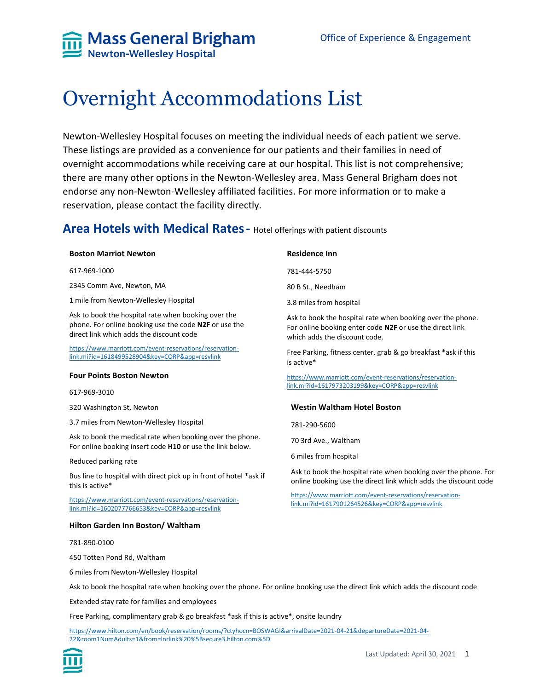

# Overnight Accommodations List

Newton-Wellesley Hospital focuses on meeting the individual needs of each patient we serve. These listings are provided as a convenience for our patients and their families in need of overnight accommodations while receiving care at our hospital. This list is not comprehensive; there are many other options in the Newton-Wellesley area. Mass General Brigham does not endorse any non-Newton-Wellesley affiliated facilities. For more information or to make a reservation, please contact the facility directly.

### **Area Hotels with Medical Rates-** Hotel offerings with patient discounts

### **Boston Marriot Newton**

617-969-1000

2345 Comm Ave, Newton, MA

1 mile from Newton-Wellesley Hospital

Ask to book the hospital rate when booking over the phone. For online booking use the code **N2F** or use the direct link which adds the discount code

[https://www.marriott.com/event-reservations/reservation](https://www.marriott.com/event-reservations/reservation-link.mi?id=1618499528904&key=CORP&app=resvlink)[link.mi?id=1618499528904&key=CORP&app=resvlink](https://www.marriott.com/event-reservations/reservation-link.mi?id=1618499528904&key=CORP&app=resvlink)

#### **Four Points Boston Newton**

617-969-3010

320 Washington St, Newton

3.7 miles from Newton-Wellesley Hospital

Ask to book the medical rate when booking over the phone. For online booking insert code **H10** or use the link below.

Reduced parking rate

Bus line to hospital with direct pick up in front of hotel \*ask if this is active\*

[https://www.marriott.com/event-reservations/reservation](https://www.marriott.com/event-reservations/reservation-link.mi?id=1602077766653&key=CORP&app=resvlink)[link.mi?id=1602077766653&key=CORP&app=resvlink](https://www.marriott.com/event-reservations/reservation-link.mi?id=1602077766653&key=CORP&app=resvlink)

#### **Hilton Garden Inn Boston/ Waltham**

781-890-0100

450 Totten Pond Rd, Waltham

6 miles from Newton-Wellesley Hospital

Ask to book the hospital rate when booking over the phone. For online booking use the direct link which adds the discount code

Extended stay rate for families and employees

Free Parking, complimentary grab & go breakfast \*ask if this is active\*, onsite laundry

[https://www.hilton.com/en/book/reservation/rooms/?ctyhocn=BOSWAGI&arrivalDate=2021-04-21&departureDate=2021-04-](https://www.hilton.com/en/book/reservation/rooms/?ctyhocn=BOSWAGI&arrivalDate=2021-04-21&departureDate=2021-04-22&room1NumAdults=1&from=lnrlink%20%5Bsecure3.hilton.com%5D) [22&room1NumAdults=1&from=lnrlink%20%5Bsecure3.hilton.com%5D](https://www.hilton.com/en/book/reservation/rooms/?ctyhocn=BOSWAGI&arrivalDate=2021-04-21&departureDate=2021-04-22&room1NumAdults=1&from=lnrlink%20%5Bsecure3.hilton.com%5D)



#### **Residence Inn**

781-444-5750

80 B St., Needham

3.8 miles from hospital

Ask to book the hospital rate when booking over the phone. For online booking enter code **N2F** or use the direct link which adds the discount code.

Free Parking, fitness center, grab & go breakfast \*ask if this is active\*

[https://www.marriott.com/event-reservations/reservation](https://www.marriott.com/event-reservations/reservation-link.mi?id=1617973203199&key=CORP&app=resvlink)[link.mi?id=1617973203199&key=CORP&app=resvlink](https://www.marriott.com/event-reservations/reservation-link.mi?id=1617973203199&key=CORP&app=resvlink)

#### **Westin Waltham Hotel Boston**

781-290-5600

70 3rd Ave., Waltham

6 miles from hospital

Ask to book the hospital rate when booking over the phone. For online booking use the direct link which adds the discount code

[https://www.marriott.com/event-reservations/reservation](https://www.marriott.com/event-reservations/reservation-link.mi?id=1617901264526&key=CORP&app=resvlink)[link.mi?id=1617901264526&key=CORP&app=resvlink](https://www.marriott.com/event-reservations/reservation-link.mi?id=1617901264526&key=CORP&app=resvlink)